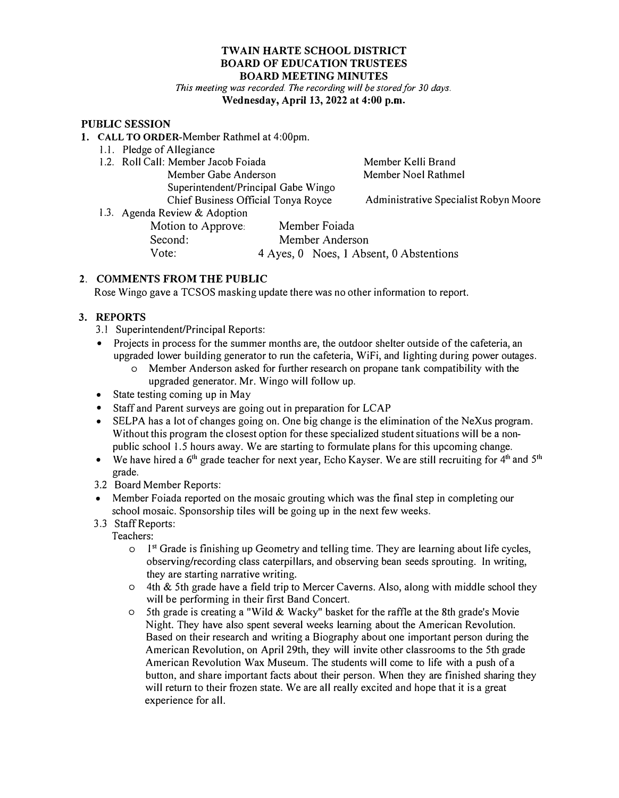#### **TWAIN HARTE SCHOOL DISTRICT BOARD OF EDUCATION TRUSTEES BOARD MEETING MINUTES**

*This meeting was recorded. The recording will be stored for 30 days.*  **Wednesday, April 13, 2022 at 4:00 p.m.** 

#### **PUBLIC SESSION**

- 1. **CALL TO ORDER-Member** Rathmel at 4:00pm.
	- 1.1. Pledge of Allegiance
	- 1.2. Roll Call: Member Jacob Foiada Member Gabe Anderson Superintendent/Principal Gabe Wingo Chief Business Official Tonya Royce

Member Kelli Brand Member Noel Rathmel

Administrative Specialist Robyn Moore

1.3. Agenda Review & Adoption Motion to Approve: Member Foiada Second: Member Anderson<br>Vote: 4 Aves. 0 Noes. 1 Abs 4 Ayes, 0 Noes, 1 Absent, 0 Abstentions

# **2. COMMENTS FROM THE PUBLIC**

Rose Wingo gave a TCSOS masking update there was no other information to report.

# **3. REPORTS**

- 3.1 Superintendent/Principal Reports:
- Projects in process for the summer months are, the outdoor shelter outside of the cafeteria, an upgraded lower building generator to run the cafeteria, WiFi, and lighting during power outages.
	- o Member Anderson asked for further research on propane tank compatibility with the upgraded generator. Mr. Wingo will follow up.
- State testing coming up in May
- Staff and Parent surveys are going out in preparation for LCAP
- SELPA has a lot of changes going on. One big change is the elimination of the NeXus program. Without this program the closest option for these specialized student situations will be a nonpublic school 1.5 hours away. We are starting to formulate plans for this upcoming change.
- We have hired a 6<sup>th</sup> grade teacher for next year, Echo Kayser. We are still recruiting for 4<sup>th</sup> and 5<sup>th</sup> grade.
- 3.2 Board Member Reports:
- Member Foiada reported on the mosaic grouting which was the final step in completing our school mosaic. Sponsorship tiles will be going up in the next few weeks.
- 3 .3 Staff Reports:

Teachers:

- o I **st** Grade is finishing up Geometry and telling time. They are learning about life cycles, observing/recording class caterpillars, and observing bean seeds sprouting. In writing, they are starting narrative writing.
- $\circ$  4th & 5th grade have a field trip to Mercer Caverns. Also, along with middle school they will be performing in their first Band Concert.
- o 5th grade is creating a "Wild & Wacky" basket for the raffle at the 8th grade's Movie Night. They have also spent several weeks learning about the American Revolution. Based on their research and writing a Biography about one important person during the American Revolution, on April 29th, they will invite other classrooms to the 5th grade American Revolution Wax Museum. The students will come to life with a push ofa button, and share important facts about their person. When they are finished sharing they will return to their frozen state. We are all really excited and hope that it is a great experience for all.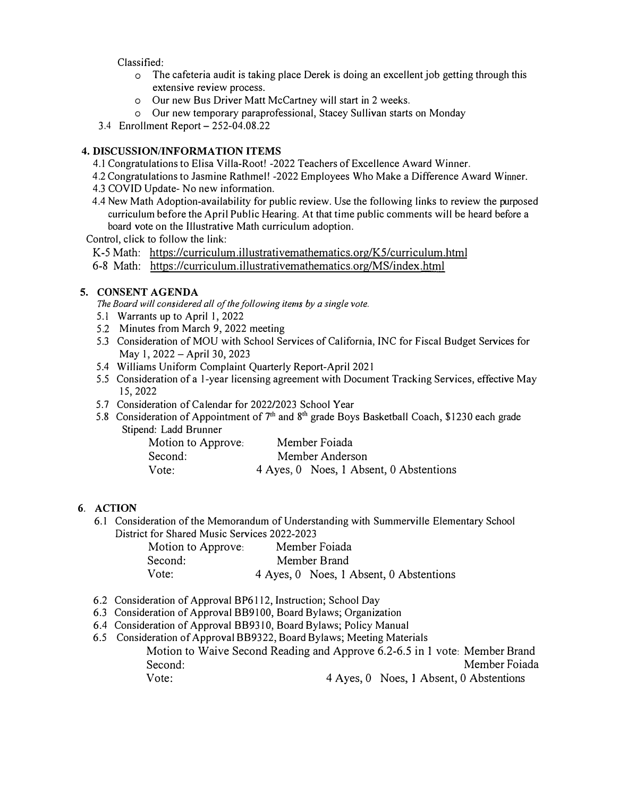Classified:

- o The cafeteria audit is taking place Derek is doing an excellent job getting through this extensive review process.
- o Our new Bus Driver Matt McCartney will start in 2 weeks.
- o Our new temporary paraprofessional, Stacey Sullivan starts on Monday
- 3.4 Enrollment Report- 252-04.08.22

### **4. DISCUSSION/INFORMATION ITEMS**

- 4.1 Congratulations to Elisa Villa-Root! -2022 Teachers of Excellence Award Winner.
- 4.2 Congratulations to Jasmine Rathmell -2022 Employees Who Make a Difference Award Winner.
- 4.3 COVID Update- No new information.
- 4.4 New Math Adoption-availability for public review. Use the following links to review the purposed curriculum before the April Public Hearing. At that time public comments will be heard before a board vote on the Illustrative Math curriculum adoption.

Control, click to follow the link:

K-5 Math: https://curriculum.illustrativemathematics.org/K5/curriculum.html

6-8 Math: https://curriculum.illustrativemathematics.org/MS/index.html

## **5. CONSENT AGENDA**

*The Board will considered all of the following items by a single vote.*

- 5.1 Warrants up to April I, 2022
- 5.2 Minutes from March 9, 2022 meeting
- 5.3 Consideration of MOU with School Services of California, INC for Fiscal Budget Services for May 1, 2022 - April 30, 2023
- 5.4 Williams Uniform Complaint Quarterly Report-April 2021
- 5.5 Consideration of a I-year licensing agreement with Document Tracking Services, effective May 15,2022
- 5.7 Consideration of Calendar for 2022/2023 School Year
- 5.8 Consideration of Appointment of  $7<sup>th</sup>$  and  $8<sup>th</sup>$  grade Boys Basketball Coach, \$1230 each grade Stipend: Ladd Brunner

| Motion to Approve: | Member Foiada                           |
|--------------------|-----------------------------------------|
| Second:            | Member Anderson                         |
| Vote:              | 4 Ayes, 0 Noes, 1 Absent, 0 Abstentions |

## **6. ACTION**

6.1 Consideration of the Memorandum of Understanding with Summerville Elementary School District for Shared Music Services 2022-2023

| Motion to Approve: | Member Foiada                           |  |
|--------------------|-----------------------------------------|--|
| Second:            | Member Brand                            |  |
| Vote:              | 4 Ayes, 0 Noes, 1 Absent, 0 Abstentions |  |

- 6.2 Consideration of Approval BP6112, Instruction; School Day
- 6.3 Consideration of Approval BB9100, Board Bylaws; Organization
- 6.4 Consideration of Approval BB9310, Board Bylaws; Policy Manual
- 6.5 Consideration of Approval BB9322, Board Bylaws; Meeting Materials Motion to Waive Second Reading and Approve 6.2-6.5 in 1 vote: Member Brand Second: Member Foiada Vote: 4 Ayes, 0 Noes, I Absent, 0 Abstentions